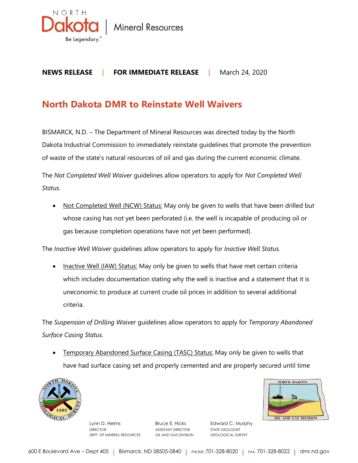

**Mineral Resources** 

## **NEWS RELEASE** | **FOR IMMEDIATE RELEASE** |March 24, 2020

## **North Dakota DMR to Reinstate Well Waivers**

BISMARCK, N.D. – The Department of Mineral Resources was directed today by the North Dakota Industrial Commission to immediately reinstate guidelines that promote the prevention of waste of the state's natural resources of oil and gas during the current economic climate.

The *Not Completed Well Waiver* guidelines allow operators to apply for *Not Completed Well Status.*

• Not Completed Well (NCW) Status: May only be given to wells that have been drilled but whose casing has not yet been perforated (i.e. the well is incapable of producing oil or gas because completion operations have not yet been performed).

The *Inactive Well Waiver* guidelines allow operators to apply for *Inactive Well Status.*

• Inactive Well (IAW) Status: May only be given to wells that have met certain criteria which includes documentation stating why the well is inactive and a statement that it is uneconomic to produce at current crude oil prices in addition to several additional criteria.

The *Suspension of Drilling Waiver* guidelines allow operators to apply for *Temporary Abandoned Surface Casing Status.*

**Temporary Abandoned Surface Casing (TASC) Status: May only be given to wells that** have had surface casing set and properly cemented and are properly secured until time



Lynn D. Helms **Bruce E. Hicks** Edward C. Murphy DIRECTOR ASSISTANT DIRECTOR STATE GEOLOGIST DEPT. OF MINERAL RESOURCES OIL AND GAS DIVISION GEOLOGICAL SURVEY